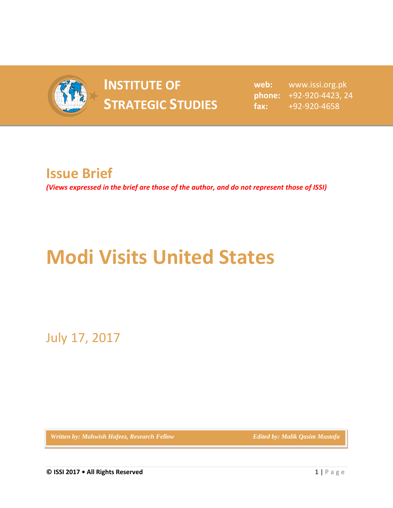

## **INSTITUTE OF STRATEGIC STUDIES**  $\frac{1}{2}$  fax:

**web:** www.issi.org.pk **phone:** +92-920-4423, 24 **fax:** +92-920-4658

## **Issue Brief**

*(Views expressed in the brief are those of the author, and do not represent those of ISSI)*

## **Modi Visits United States**

July 17, 2017

*Written by: Mahwish Hafeez, Research Fellow* **Edited by: Malik Qasim Mustafa**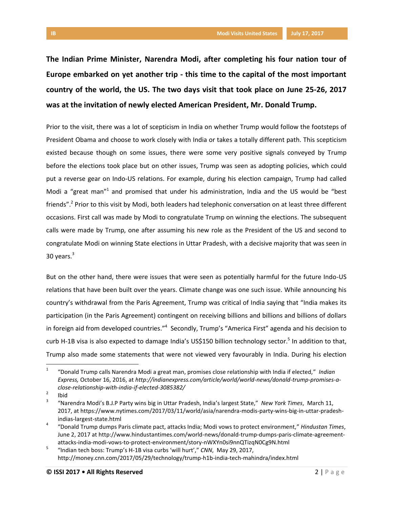**The Indian Prime Minister, Narendra Modi, after completing his four nation tour of Europe embarked on yet another trip - this time to the capital of the most important country of the world, the US. The two days visit that took place on June 25-26, 2017 was at the invitation of newly elected American President, Mr. Donald Trump.** 

Prior to the visit, there was a lot of scepticism in India on whether Trump would follow the footsteps of President Obama and choose to work closely with India or takes a totally different path. This scepticism existed because though on some issues, there were some very positive signals conveyed by Trump before the elections took place but on other issues, Trump was seen as adopting policies, which could put a reverse gear on Indo-US relations. For example, during his election campaign, Trump had called Modi a "great man"<sup>1</sup> and promised that under his administration, India and the US would be "best friends".<sup>2</sup> Prior to this visit by Modi, both leaders had telephonic conversation on at least three different occasions. First call was made by Modi to congratulate Trump on winning the elections. The subsequent calls were made by Trump, one after assuming his new role as the President of the US and second to congratulate Modi on winning State elections in Uttar Pradesh, with a decisive majority that was seen in 30 years. $3$ 

But on the other hand, there were issues that were seen as potentially harmful for the future Indo-US relations that have been built over the years. Climate change was one such issue. While announcing his country's withdrawal from the Paris Agreement, Trump was critical of India saying that "India makes its participation (in the Paris Agreement) contingent on receiving billions and billions and billions of dollars in foreign aid from developed countries."<sup>4</sup> Secondly, Trump's "America First" agenda and his decision to curb H-1B visa is also expected to damage India's US\$150 billion technology sector.<sup>5</sup> In addition to that, Trump also made some statements that were not viewed very favourably in India. During his election

 $\overline{1}$ "Donald Trump calls Narendra Modi a great man, promises close relationship with India if elected," *Indian Express,* October 16, 2016, at *http://indianexpress.com/article/world/world-news/donald-trump-promises-aclose-relationship-with-india-if-elected-3085382/*

<sup>2</sup> Ibid

<sup>3</sup> "Narendra Modi's B.J.P Party wins big in Uttar Pradesh, India's largest State," *New York Times*, March 11, 2017, at https://www.nytimes.com/2017/03/11/world/asia/narendra-modis-party-wins-big-in-uttar-pradeshindias-largest-state.html

<sup>4</sup> "Donald Trump dumps Paris climate pact, attacks India; Modi vows to protect environment," *Hindustan Times*, June 2, 2017 at http://www.hindustantimes.com/world-news/donald-trump-dumps-paris-climate-agreementattacks-india-modi-vows-to-protect-environment/story-nWXYn0si9nnQTizqN0Cg9N.html

<sup>5</sup> "Indian tech boss: Trump's H-1B visa curbs 'will hurt'," *CNN*, May 29, 2017, http://money.cnn.com/2017/05/29/technology/trump-h1b-india-tech-mahindra/index.html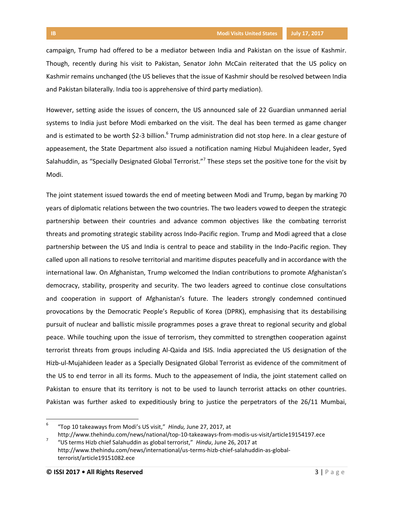campaign, Trump had offered to be a mediator between India and Pakistan on the issue of Kashmir. Though, recently during his visit to Pakistan, Senator John McCain reiterated that the US policy on Kashmir remains unchanged (the US believes that the issue of Kashmir should be resolved between India and Pakistan bilaterally. India too is apprehensive of third party mediation).

However, setting aside the issues of concern, the US announced sale of 22 Guardian unmanned aerial systems to India just before Modi embarked on the visit. The deal has been termed as game changer and is estimated to be worth \$2-3 billion.<sup>6</sup> Trump administration did not stop here. In a clear gesture of appeasement, the State Department also issued a notification naming Hizbul Mujahideen leader, Syed Salahuddin, as "Specially Designated Global Terrorist."<sup>7</sup> These steps set the positive tone for the visit by Modi.

The joint statement issued towards the end of meeting between Modi and Trump, began by marking 70 years of diplomatic relations between the two countries. The two leaders vowed to deepen the strategic partnership between their countries and advance common objectives like the combating terrorist threats and promoting strategic stability across Indo-Pacific region. Trump and Modi agreed that a close partnership between the US and India is central to peace and stability in the Indo-Pacific region. They called upon all nations to resolve territorial and maritime disputes peacefully and in accordance with the international law. On Afghanistan, Trump welcomed the Indian contributions to promote Afghanistan's democracy, stability, prosperity and security. The two leaders agreed to continue close consultations and cooperation in support of Afghanistan's future. The leaders strongly condemned continued provocations by the Democratic People's Republic of Korea (DPRK), emphasising that its destabilising pursuit of nuclear and ballistic missile programmes poses a grave threat to regional security and global peace. While touching upon the issue of terrorism, they committed to strengthen cooperation against terrorist threats from groups including Al-Qaida and ISIS. India appreciated the US designation of the Hizb-ul-Mujahideen leader as a Specially Designated Global Terrorist as evidence of the commitment of the US to end terror in all its forms. Much to the appeasement of India, the joint statement called on Pakistan to ensure that its territory is not to be used to launch terrorist attacks on other countries. Pakistan was further asked to expeditiously bring to justice the perpetrators of the 26/11 Mumbai,

l

<sup>6</sup> "Top 10 takeaways from Modi's US visit," *Hindu,* June 27, 2017, at

http://www.thehindu.com/news/national/top-10-takeaways-from-modis-us-visit/article19154197.ece 7 "US terms Hizb chief Salahuddin as global terrorist," *Hindu*, June 26, 2017 at http://www.thehindu.com/news/international/us-terms-hizb-chief-salahuddin-as-globalterrorist/article19151082.ece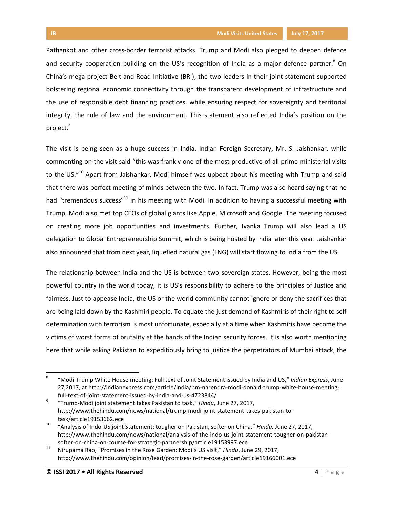Pathankot and other cross-border terrorist attacks. Trump and Modi also pledged to deepen defence and security cooperation building on the US's recognition of India as a major defence partner.<sup>8</sup> On China's mega project Belt and Road Initiative (BRI), the two leaders in their joint statement supported bolstering regional economic connectivity through the transparent development of infrastructure and the use of responsible debt financing practices, while ensuring respect for sovereignty and territorial integrity, the rule of law and the environment. This statement also reflected India's position on the project.<sup>9</sup>

The visit is being seen as a huge success in India. Indian Foreign Secretary, Mr. S. Jaishankar, while commenting on the visit said "this was frankly one of the most productive of all prime ministerial visits to the US."<sup>10</sup> Apart from Jaishankar, Modi himself was upbeat about his meeting with Trump and said that there was perfect meeting of minds between the two. In fact, Trump was also heard saying that he had "tremendous success"<sup>11</sup> in his meeting with Modi. In addition to having a successful meeting with Trump, Modi also met top CEOs of global giants like Apple, Microsoft and Google. The meeting focused on creating more job opportunities and investments. Further, Ivanka Trump will also lead a US delegation to Global Entrepreneurship Summit, which is being hosted by India later this year. Jaishankar also announced that from next year, liquefied natural gas (LNG) will start flowing to India from the US.

The relationship between India and the US is between two sovereign states. However, being the most powerful country in the world today, it is US's responsibility to adhere to the principles of Justice and fairness. Just to appease India, the US or the world community cannot ignore or deny the sacrifices that are being laid down by the Kashmiri people. To equate the just demand of Kashmiris of their right to self determination with terrorism is most unfortunate, especially at a time when Kashmiris have become the victims of worst forms of brutality at the hands of the Indian security forces. It is also worth mentioning here that while asking Pakistan to expeditiously bring to justice the perpetrators of Mumbai attack, the

 $\overline{a}$ 

<sup>8</sup> "Modi-Trump White House meeting: Full text of Joint Statement issued by India and US," *Indian Express*, June 27,2017, at http://indianexpress.com/article/india/pm-narendra-modi-donald-trump-white-house-meetingfull-text-of-joint-statement-issued-by-india-and-us-4723844/

<sup>9</sup> "Trump-Modi joint statement takes Pakistan to task," *Hindu*, June 27, 2017, http://www.thehindu.com/news/national/trump-modi-joint-statement-takes-pakistan-totask/article19153662.ece

<sup>10</sup> "Analysis of Indo-US joint Statement: tougher on Pakistan, softer on China," *Hindu,* June 27, 2017, http://www.thehindu.com/news/national/analysis-of-the-indo-us-joint-statement-tougher-on-pakistansofter-on-china-on-course-for-strategic-partnership/article19153997.ece

<sup>11</sup> Nirupama Rao, "Promises in the Rose Garden: Modi's US visit," *Hindu*, June 29, 2017, http://www.thehindu.com/opinion/lead/promises-in-the-rose-garden/article19166001.ece